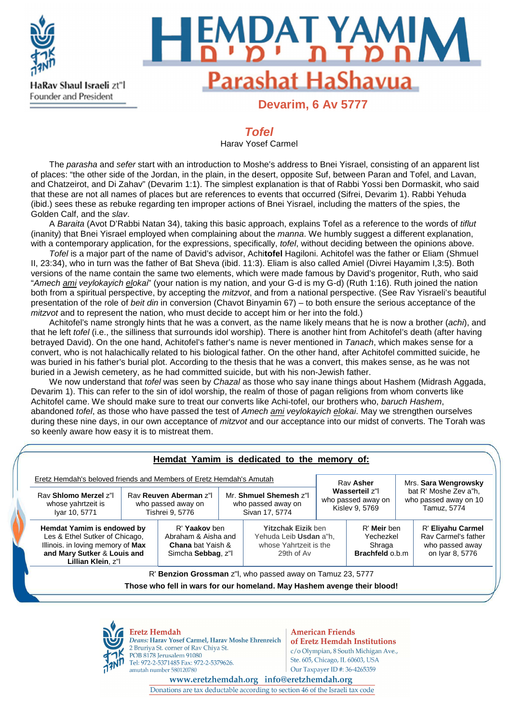

**Tofel**

Harav Yosef Carmel

The parasha and sefer start with an introduction to Moshe's address to Bnei Yisrael, consisting of an apparent list of places: "the other side of the Jordan, in the plain, in the desert, opposite Suf, between Paran and Tofel, and Lavan, and Chatzeirot, and Di Zahav" (Devarim 1:1). The simplest explanation is that of Rabbi Yossi ben Dormaskit, who said that these are not all names of places but are references to events that occurred (Sifrei, Devarim 1). Rabbi Yehuda (ibid.) sees these as rebuke regarding ten improper actions of Bnei Yisrael, including the matters of the spies, the Golden Calf, and the slav.

A Baraita (Avot D'Rabbi Natan 34), taking this basic approach, explains Tofel as a reference to the words of tiflut (inanity) that Bnei Yisrael employed when complaining about the manna. We humbly suggest a different explanation, with a contemporary application, for the expressions, specifically, *tofel*, without deciding between the opinions above.

Tofel is a major part of the name of David's advisor, Achi**tofel** Hagiloni. Achitofel was the father or Eliam (Shmuel II, 23:34), who in turn was the father of Bat Sheva (ibid. 11:3). Eliam is also called Amiel (Divrei Hayamim I,3:5). Both versions of the name contain the same two elements, which were made famous by David's progenitor, Ruth, who said "Amech ami veylokayich elokai" (your nation is my nation, and your G-d is my G-d) (Ruth 1:16). Ruth joined the nation both from a spiritual perspective, by accepting the *mitzvot*, and from a national perspective. (See Rav Yisraeli's beautiful presentation of the role of beit din in conversion (Chavot Binyamin 67) – to both ensure the serious acceptance of the mitzvot and to represent the nation, who must decide to accept him or her into the fold.)

Achitofel's name strongly hints that he was a convert, as the name likely means that he is now a brother (achi), and that he left tofel (i.e., the silliness that surrounds idol worship). There is another hint from Achitofel's death (after having betrayed David). On the one hand, Achitofel's father's name is never mentioned in Tanach, which makes sense for a convert, who is not halachically related to his biological father. On the other hand, after Achitofel committed suicide, he was buried in his father's burial plot. According to the thesis that he was a convert, this makes sense, as he was not buried in a Jewish cemetery, as he had committed suicide, but with his non-Jewish father.

We now understand that tofel was seen by Chazal as those who say inane things about Hashem (Midrash Aggada, Devarim 1). This can refer to the sin of idol worship, the realm of those of pagan religions from whom converts like Achitofel came. We should make sure to treat our converts like Achi-tofel, our brothers who, baruch Hashem, abandoned tofel, as those who have passed the test of Amech ami veylokayich elokai. May we strengthen ourselves during these nine days, in our own acceptance of *mitzvot* and our acceptance into our midst of converts. The Torah was so keenly aware how easy it is to mistreat them.

| Eretz Hemdah's beloved friends and Members of Eretz Hemdah's Amutah                                                                                    |                                                                 |                                                                                        |                                                                |                                                                                             |                                                        | Rav Asher                                             |                                                               | Mrs. Sara Wengrowsky                                                           |
|--------------------------------------------------------------------------------------------------------------------------------------------------------|-----------------------------------------------------------------|----------------------------------------------------------------------------------------|----------------------------------------------------------------|---------------------------------------------------------------------------------------------|--------------------------------------------------------|-------------------------------------------------------|---------------------------------------------------------------|--------------------------------------------------------------------------------|
| Rav Shlomo Merzel z"I<br>whose yahrtzeit is<br>Iyar 10, 5771                                                                                           | Rav Reuven Aberman z"l<br>who passed away on<br>Tishrei 9, 5776 |                                                                                        | Mr. Shmuel Shemesh z"I<br>who passed away on<br>Sivan 17, 5774 |                                                                                             | Wasserteil z"l<br>who passed away on<br>Kislev 9, 5769 |                                                       | bat R' Moshe Zev a"h.<br>who passed away on 10<br>Tamuz. 5774 |                                                                                |
| Hemdat Yamim is endowed by<br>Les & Ethel Sutker of Chicago,<br>Illinois. in loving memory of Max<br>and Mary Sutker & Louis and<br>Lillian Klein, z"I |                                                                 | R' Yaakov ben<br>Abraham & Aisha and<br><b>Chana</b> bat Yaish &<br>Simcha Sebbag, z"I |                                                                | <b>Yitzchak Eizik ben</b><br>Yehuda Leib Usdan a"h.<br>whose Yahrtzeit is the<br>29th of Av |                                                        | R' Meir ben<br>Yechezkel<br>Shraga<br>Brachfeld o.b.m |                                                               | R' Eliyahu Carmel<br>Ray Carmel's father<br>who passed away<br>on Iyar 8, 5776 |



**Eretz Hemdah** Deans: Harav Yosef Carmel, Harav Moshe Ehrenreich 2 Bruriya St. corner of Rav Chiya St. POB 8178 Jerusalem 91080 Tel: 972-2-5371485 Fax: 972-2-5379626. amutah number 580120780

**American Friends** of Eretz Hemdah Institutions c/o Olympian, 8 South Michigan Ave., Ste. 605, Chicago, IL 60603, USA Our Taxpayer ID #: 36-4265359

www.eretzhemdah.org info@eretzhemdah.org Donations are tax deductable according to section 46 of the Israeli tax code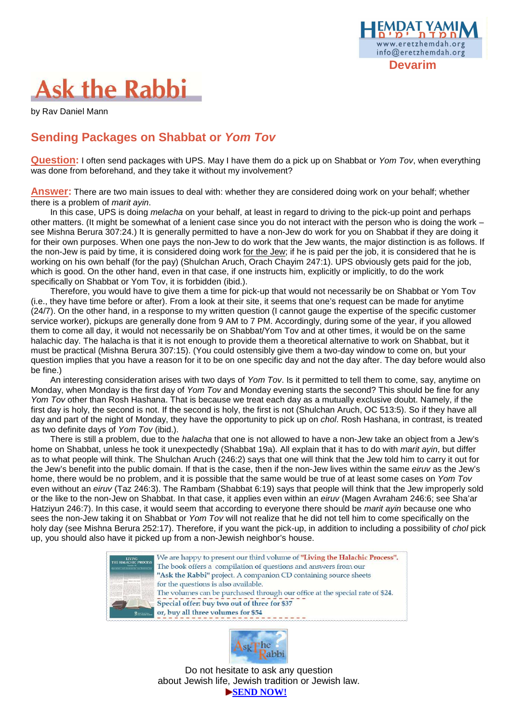

## **Ask the Rabbi**

by Rav Daniel Mann

### **Sending Packages on Shabbat or Yom Tov**

**Question:** I often send packages with UPS. May I have them do a pick up on Shabbat or Yom Tov, when everything was done from beforehand, and they take it without my involvement?

**Answer:** There are two main issues to deal with: whether they are considered doing work on your behalf; whether there is a problem of marit ayin.

In this case, UPS is doing *melacha* on your behalf, at least in regard to driving to the pick-up point and perhaps other matters. (It might be somewhat of a lenient case since you do not interact with the person who is doing the work – see Mishna Berura 307:24.) It is generally permitted to have a non-Jew do work for you on Shabbat if they are doing it for their own purposes. When one pays the non-Jew to do work that the Jew wants, the major distinction is as follows. If the non-Jew is paid by time, it is considered doing work for the Jew; if he is paid per the job, it is considered that he is working on his own behalf (for the pay) (Shulchan Aruch, Orach Chayim 247:1). UPS obviously gets paid for the job, which is good. On the other hand, even in that case, if one instructs him, explicitly or implicitly, to do the work specifically on Shabbat or Yom Tov, it is forbidden (ibid.).

Therefore, you would have to give them a time for pick-up that would not necessarily be on Shabbat or Yom Tov (i.e., they have time before or after). From a look at their site, it seems that one's request can be made for anytime (24/7). On the other hand, in a response to my written question (I cannot gauge the expertise of the specific customer service worker), pickups are generally done from 9 AM to 7 PM. Accordingly, during some of the year, if you allowed them to come all day, it would not necessarily be on Shabbat/Yom Tov and at other times, it would be on the same halachic day. The halacha is that it is not enough to provide them a theoretical alternative to work on Shabbat, but it must be practical (Mishna Berura 307:15). (You could ostensibly give them a two-day window to come on, but your question implies that you have a reason for it to be on one specific day and not the day after. The day before would also be fine.)

An interesting consideration arises with two days of Yom Tov. Is it permitted to tell them to come, say, anytime on Monday, when Monday is the first day of Yom Tov and Monday evening starts the second? This should be fine for any Yom Tov other than Rosh Hashana. That is because we treat each day as a mutually exclusive doubt. Namely, if the first day is holy, the second is not. If the second is holy, the first is not (Shulchan Aruch, OC 513:5). So if they have all day and part of the night of Monday, they have the opportunity to pick up on *chol*. Rosh Hashana, in contrast, is treated as two definite days of Yom Tov (ibid.).

There is still a problem, due to the *halacha* that one is not allowed to have a non-Jew take an object from a Jew's home on Shabbat, unless he took it unexpectedly (Shabbat 19a). All explain that it has to do with *marit ayin*, but differ as to what people will think. The Shulchan Aruch (246:2) says that one will think that the Jew told him to carry it out for the Jew's benefit into the public domain. If that is the case, then if the non-Jew lives within the same eiruv as the Jew's home, there would be no problem, and it is possible that the same would be true of at least some cases on Yom Tov even without an eiruv (Taz 246:3). The Rambam (Shabbat 6:19) says that people will think that the Jew improperly sold or the like to the non-Jew on Shabbat. In that case, it applies even within an eiruv (Magen Avraham 246:6; see Sha'ar Hatziyun 246:7). In this case, it would seem that according to everyone there should be *marit ayin* because one who sees the non-Jew taking it on Shabbat or Yom Tov will not realize that he did not tell him to come specifically on the holy day (see Mishna Berura 252:17). Therefore, if you want the pick-up, in addition to including a possibility of *chol* pick up, you should also have it picked up from a non-Jewish neighbor's house.





Do not hesitate to ask any question about Jewish life, Jewish tradition or Jewish law. **SEND NOW!**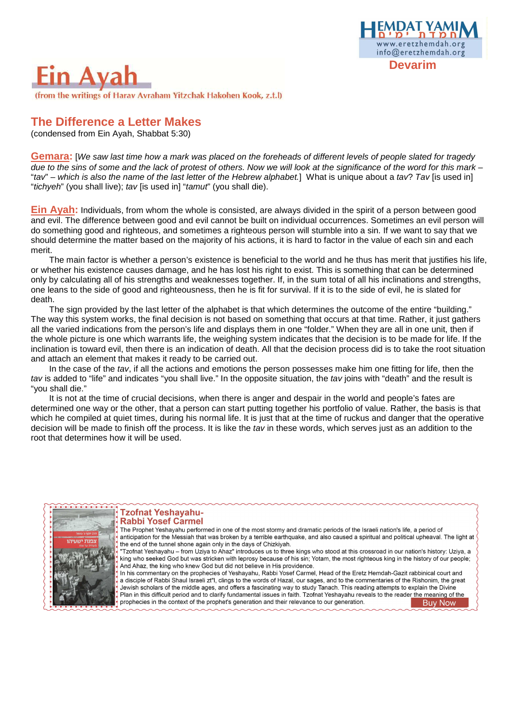

# (from the writings of Harav Avraham Yitzchak Hakohen Kook, z.t.l)

#### **The Difference a Letter Makes**

(condensed from Ein Ayah, Shabbat 5:30)

**Gemara:** [We saw last time how a mark was placed on the foreheads of different levels of people slated for tragedy due to the sins of some and the lack of protest of others. Now we will look at the significance of the word for this mark – "tav" – which is also the name of the last letter of the Hebrew alphabet.] What is unique about a tav? Tav [is used in] "tichyeh" (you shall live); tav [is used in] "tamut" (you shall die).

**Ein Ayah:** Individuals, from whom the whole is consisted, are always divided in the spirit of a person between good and evil. The difference between good and evil cannot be built on individual occurrences. Sometimes an evil person will do something good and righteous, and sometimes a righteous person will stumble into a sin. If we want to say that we should determine the matter based on the majority of his actions, it is hard to factor in the value of each sin and each merit.

The main factor is whether a person's existence is beneficial to the world and he thus has merit that justifies his life, or whether his existence causes damage, and he has lost his right to exist. This is something that can be determined only by calculating all of his strengths and weaknesses together. If, in the sum total of all his inclinations and strengths, one leans to the side of good and righteousness, then he is fit for survival. If it is to the side of evil, he is slated for death.

The sign provided by the last letter of the alphabet is that which determines the outcome of the entire "building." The way this system works, the final decision is not based on something that occurs at that time. Rather, it just gathers all the varied indications from the person's life and displays them in one "folder." When they are all in one unit, then if the whole picture is one which warrants life, the weighing system indicates that the decision is to be made for life. If the inclination is toward evil, then there is an indication of death. All that the decision process did is to take the root situation and attach an element that makes it ready to be carried out.

In the case of the  $tav$ , if all the actions and emotions the person possesses make him one fitting for life, then the tav is added to "life" and indicates "you shall live." In the opposite situation, the tav joins with "death" and the result is "you shall die."

It is not at the time of crucial decisions, when there is anger and despair in the world and people's fates are determined one way or the other, that a person can start putting together his portfolio of value. Rather, the basis is that which he compiled at quiet times, during his normal life. It is just that at the time of ruckus and danger that the operative decision will be made to finish off the process. It is like the tay in these words, which serves just as an addition to the root that determines how it will be used.



#### **Tzofnat Yeshayahu-Rabbi Yosef Carmel**

The Prophet Yeshayahu performed in one of the most stormy and dramatic periods of the Israeli nation's life, a period of anticipation for the Messiah that was broken by a terrible earthquake, and also caused a spiritual and political upheaval. The light at the end of the tunnel shone again only in the days of Chizkiyah.

"Tzofnat Yeshayahu – from Uziya to Ahaz" introduces us to three kings who stood at this crossroad in our nation's history: Uziya, a king who seeked God but was stricken with leprosy because of his sin; Yotam, the most righteous king in the history of our people; And Ahaz, the king who knew God but did not believe in His providence.

In his commentary on the prophecies of Yeshayahu, Rabbi Yosef Carmel, Head of the Eretz Hemdah-Gazit rabbinical court and a disciple of Rabbi Shaul Israeli zt"l, clings to the words of Hazal, our sages, and to the commentaries of the Rishonim, the great Jewish scholars of the middle ages, and offers a fascinating way to study Tanach. This reading attempts to explain the Divine Plan in this difficult period and to clarify fundamental issues in faith. Tzofnat Yeshayahu reveals to the reader the meaning of the prophecies in the context of the prophet's generation and their relevance to our generation. **Buy Now**